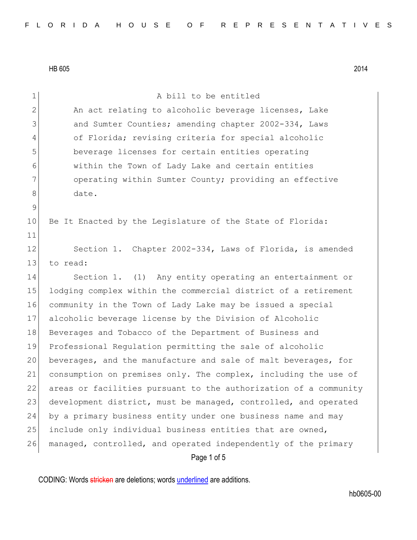| $\mathbf 1$  | A bill to be entitled                                            |
|--------------|------------------------------------------------------------------|
| $\mathbf{2}$ | An act relating to alcoholic beverage licenses, Lake             |
| 3            | and Sumter Counties; amending chapter 2002-334, Laws             |
| 4            | of Florida; revising criteria for special alcoholic              |
| 5            | beverage licenses for certain entities operating                 |
| 6            | within the Town of Lady Lake and certain entities                |
| 7            | operating within Sumter County; providing an effective           |
| 8            | date.                                                            |
| 9            |                                                                  |
| 10           | Be It Enacted by the Legislature of the State of Florida:        |
| 11           |                                                                  |
| 12           | Section 1. Chapter 2002-334, Laws of Florida, is amended         |
| 13           | to read:                                                         |
| 14           | Section 1. (1) Any entity operating an entertainment or          |
| 15           | lodging complex within the commercial district of a retirement   |
| 16           | community in the Town of Lady Lake may be issued a special       |
| 17           | alcoholic beverage license by the Division of Alcoholic          |
| 18           | Beverages and Tobacco of the Department of Business and          |
| 19           | Professional Regulation permitting the sale of alcoholic         |
| 20           | beverages, and the manufacture and sale of malt beverages, for   |
| 21           | consumption on premises only. The complex, including the use of  |
| 22           | areas or facilities pursuant to the authorization of a community |
| 23           | development district, must be managed, controlled, and operated  |
| 24           | by a primary business entity under one business name and may     |
| 25           | include only individual business entities that are owned,        |
| 26           | managed, controlled, and operated independently of the primary   |
|              | Page 1 of 5                                                      |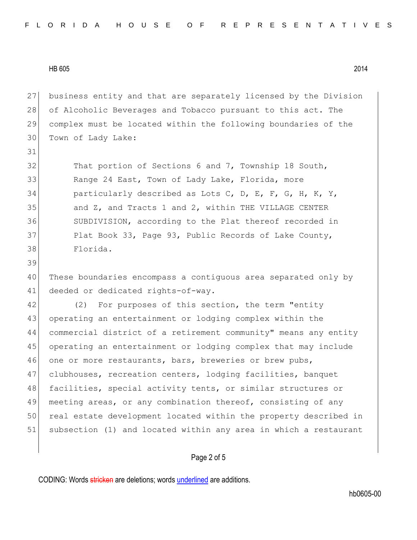31

39

 business entity and that are separately licensed by the Division 28 of Alcoholic Beverages and Tobacco pursuant to this act. The complex must be located within the following boundaries of the Town of Lady Lake:

32 That portion of Sections 6 and 7, Township 18 South, 33 Range 24 East, Town of Lady Lake, Florida, more 34 particularly described as Lots C, D, E, F, G, H, K, Y, 35 and Z, and Tracts 1 and 2, within THE VILLAGE CENTER 36 SUBDIVISION, according to the Plat thereof recorded in 37 Plat Book 33, Page 93, Public Records of Lake County, 38 Florida.

40 These boundaries encompass a contiguous area separated only by 41 deeded or dedicated rights-of-way.

42 (2) For purposes of this section, the term "entity 43 operating an entertainment or lodging complex within the 44 commercial district of a retirement community" means any entity 45 operating an entertainment or lodging complex that may include 46 one or more restaurants, bars, breweries or brew pubs, 47 clubhouses, recreation centers, lodging facilities, banquet 48 facilities, special activity tents, or similar structures or 49 meeting areas, or any combination thereof, consisting of any 50 real estate development located within the property described in 51 subsection (1) and located within any area in which a restaurant

## Page 2 of 5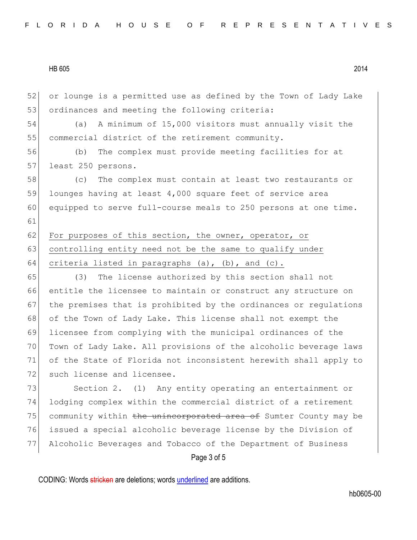52 or lounge is a permitted use as defined by the Town of Lady Lake 53 ordinances and meeting the following criteria:

54 (a) A minimum of 15,000 visitors must annually visit the 55 commercial district of the retirement community.

56 (b) The complex must provide meeting facilities for at 57 least 250 persons.

 (c) The complex must contain at least two restaurants or lounges having at least 4,000 square feet of service area equipped to serve full-course meals to 250 persons at one time. 61

62 For purposes of this section, the owner, operator, or 63 controlling entity need not be the same to qualify under 64 criteria listed in paragraphs (a), (b), and (c).

 (3) The license authorized by this section shall not entitle the licensee to maintain or construct any structure on 67 the premises that is prohibited by the ordinances or regulations 68 of the Town of Lady Lake. This license shall not exempt the licensee from complying with the municipal ordinances of the Town of Lady Lake. All provisions of the alcoholic beverage laws of the State of Florida not inconsistent herewith shall apply to 72 such license and licensee.

Page 3 of 5 73 Section 2. (1) Any entity operating an entertainment or 74 lodging complex within the commercial district of a retirement 75 community within the unincorporated area of Sumter County may be 76 issued a special alcoholic beverage license by the Division of 77 Alcoholic Beverages and Tobacco of the Department of Business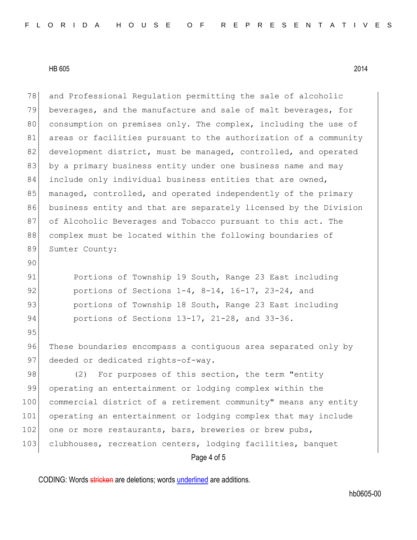95

78 and Professional Regulation permitting the sale of alcoholic 79 beverages, and the manufacture and sale of malt beverages, for 80 consumption on premises only. The complex, including the use of 81 areas or facilities pursuant to the authorization of a community 82 development district, must be managed, controlled, and operated 83 by a primary business entity under one business name and may 84 include only individual business entities that are owned, 85 managed, controlled, and operated independently of the primary 86 business entity and that are separately licensed by the Division 87 of Alcoholic Beverages and Tobacco pursuant to this act. The 88 complex must be located within the following boundaries of 89 Sumter County: 90 91 Portions of Township 19 South, Range 23 East including

92 portions of Sections 1-4, 8-14, 16-17, 23-24, and 93 **portions of Township 18 South, Range 23 East including** 94 portions of Sections 13-17, 21-28, and 33-36.

96 These boundaries encompass a contiguous area separated only by 97 deeded or dedicated rights-of-way.

Page 4 of 5 98 (2) For purposes of this section, the term "entity 99 operating an entertainment or lodging complex within the 100 commercial district of a retirement community" means any entity 101 operating an entertainment or lodging complex that may include 102 one or more restaurants, bars, breweries or brew pubs, 103 clubhouses, recreation centers, lodging facilities, banquet